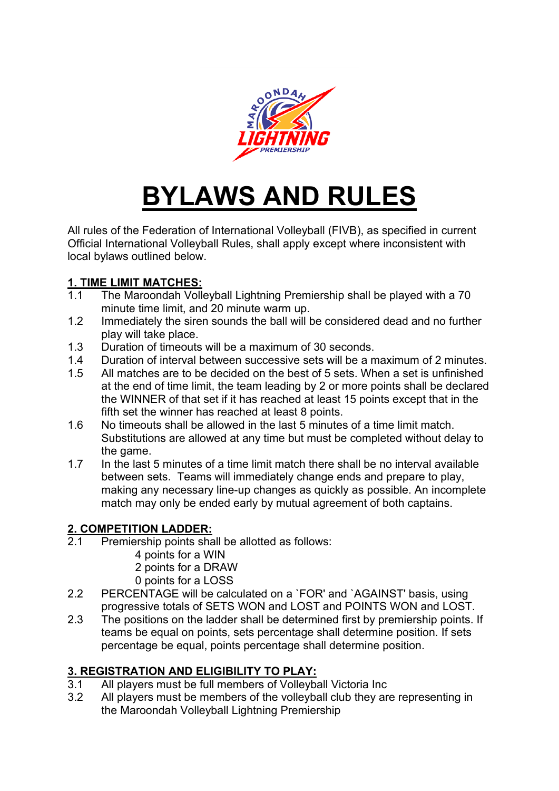

# **BYLAWS AND RULES**

All rules of the Federation of International Volleyball (FIVB), as specified in current Official International Volleyball Rules, shall apply except where inconsistent with local bylaws outlined below.

### **1. TIME LIMIT MATCHES:**

- 1.1 The Maroondah Volleyball Lightning Premiership shall be played with a 70 minute time limit, and 20 minute warm up.
- 1.2 Immediately the siren sounds the ball will be considered dead and no further play will take place.
- 1.3 Duration of timeouts will be a maximum of 30 seconds.
- 1.4 Duration of interval between successive sets will be a maximum of 2 minutes.
- 1.5 All matches are to be decided on the best of 5 sets. When a set is unfinished at the end of time limit, the team leading by 2 or more points shall be declared the WINNER of that set if it has reached at least 15 points except that in the fifth set the winner has reached at least 8 points.
- 1.6 No timeouts shall be allowed in the last 5 minutes of a time limit match. Substitutions are allowed at any time but must be completed without delay to the game.
- 1.7 In the last 5 minutes of a time limit match there shall be no interval available between sets. Teams will immediately change ends and prepare to play, making any necessary line-up changes as quickly as possible. An incomplete match may only be ended early by mutual agreement of both captains.

#### **2. COMPETITION LADDER:**

- 2.1 Premiership points shall be allotted as follows:
	- 4 points for a WIN
		- 2 points for a DRAW
		- 0 points for a LOSS
- 2.2 PERCENTAGE will be calculated on a `FOR' and `AGAINST' basis, using progressive totals of SETS WON and LOST and POINTS WON and LOST.
- 2.3 The positions on the ladder shall be determined first by premiership points. If teams be equal on points, sets percentage shall determine position. If sets percentage be equal, points percentage shall determine position.

### **3. REGISTRATION AND ELIGIBILITY TO PLAY:**

- 3.1 All players must be full members of Volleyball Victoria Inc
- 3.2 All players must be members of the volleyball club they are representing in the Maroondah Volleyball Lightning Premiership